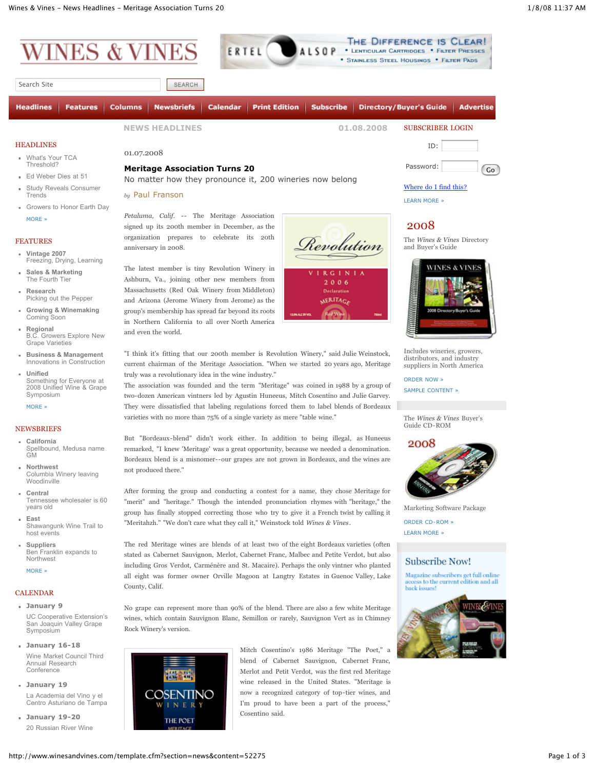

Search Site

**Headlines** Calendar Print Edition | Subscribe | Directory/Buyer's Guide **Features** Columns | **Newsbriefs** Advertise **NEWS HEADLINES 01.08.2008** SUBSCRIBER LOGIN **[HEADLINES](http://www.winesandvines.com/template.cfm?section=news)** ID: 01.07.2008 What's Your TCA [Threshold?](http://www.winesandvines.com/template.cfm?section=news&content=52242) Password: Co **Meritage Association Turns 20** Ed [Weber](http://www.winesandvines.com/template.cfm?section=news&content=52212) Dies at 51 No matter how they pronounce it, 200 wineries now belong [Where](http://www.winesandvines.com/template.cfm?section=news&content=52275#) do I find this? Study Reveals [Consumer](http://www.winesandvines.com/template.cfm?section=news&content=52164)

ERTEL

**Trends** [Growers](http://www.winesandvines.com/template.cfm?section=news&content=52121) to Honor Earth Day [MORE](http://www.winesandvines.com/template.cfm?section=news) »

## [FEATURES](http://www.winesandvines.com/template.cfm?section=features)

- **Vintage 2007** [Freezing,](http://www.winesandvines.com/template.cfm?section=features&content=52160) Drying, Learning
- **Sales & Marketing** The [Fourth](http://www.winesandvines.com/template.cfm?section=features&content=52181) Tier
- **Research** Picking out the [Pepper](http://www.winesandvines.com/template.cfm?section=features&content=52196)
- **Growing & Winemaking** [Coming](http://www.winesandvines.com/template.cfm?section=features&content=52204) Soon
- **Regional**  $\mathbf{u}$  . B.C. Growers Explore New Grape [Varieties](http://www.winesandvines.com/template.cfm?section=features&content=52207)
- **Business & Management**  $\alpha$  . Innovations in [Construction](http://www.winesandvines.com/template.cfm?section=features&content=52203)
- **Unified** Something for Everyone at 2008 Unified Wine & Grape [Symposium](http://www.winesandvines.com/template.cfm?section=features&content=52208)

[MORE](http://www.winesandvines.com/template.cfm?section=features) »

## [NEWSBRIEFS](http://www.winesandvines.com/template.cfm?section=newsbriefs)

- **California** Spellbound, Medusa name GM
- **Northwest**  $\mathbf{u}$  . Columbia Winery leaving Woodinville
- **Central** Tennessee wholesaler is 60 years old
- **East** Shawangunk Wine Trail to host events
- **Suppliers** Ben Franklin expands to Northwest

[MORE](http://www.winesandvines.com/template.cfm?section=newsbriefs) »

## [CALENDAR](http://www.winesandvines.com/template.cfm?section=calendar)

- **January 9** UC Cooperative Extension's San Joaquin Valley Grape **Symposium**
- **January 16-18** Wine Market Council Third Annual Research Conference
- **January 19** La Academia del Vino y el Centro Asturiano de Tampa
- **January 19-20** 20 Russian River Wine

*by* Paul Franson

*Petaluma, Calif.* -- The Meritage Association signed up its 200th member in December, as the organization prepares to celebrate its 20th anniversary in 2008.

SEARCH

The latest member is tiny Revolution Winery in Ashburn, Va., joining other new members from Massachusetts (Red Oak Winery from Middleton) and Arizona (Jerome Winery from Jerome) as the group's membership has spread far beyond its roots in Northern California to all over North America and even the world.





"I think it's fitting that our 200th member is Revolution Winery," said Julie Weinstock, current chairman of the Meritage Association. "When we started 20 years ago, Meritage truly was a revolutionary idea in the wine industry."

The association was founded and the term "Meritage" was coined in 1988 by a group of two-dozen American vintners led by Agustin Huneeus, Mitch Cosentino and Julie Garvey. They were dissatisfied that labeling regulations forced them to label blends of Bordeaux varieties with no more than 75% of a single variety as mere "table wine."

But "Bordeaux-blend" didn't work either. In addition to being illegal, as Huneeus remarked, "I knew 'Meritage' was a great opportunity, because we needed a denomination. Bordeaux blend is a misnomer--our grapes are not grown in Bordeaux, and the wines are not produced there."

After forming the group and conducting a contest for a name, they chose Meritage for "merit" and "heritage." Though the intended pronunciation rhymes with "heritage," the group has finally stopped correcting those who try to give it a French twist by calling it "Meritahzh." "We don't care what they call it," Weinstock told *Wines & Vines*.

The red Meritage wines are blends of at least two of the eight Bordeaux varieties (often stated as Cabernet Sauvignon, Merlot, Cabernet Franc, Malbec and Petite Verdot, but also including Gros Verdot, Carménère and St. Macaire). Perhaps the only vintner who planted all eight was former owner Orville Magoon at Langtry Estates in Guenoc Valley, Lake County, Calif.

No grape can represent more than 90% of the blend. There are also a few white Meritage wines, which contain Sauvignon Blanc, Semillon or rarely, Sauvignon Vert as in Chimney Rock Winery's version.

> Mitch Cosentino's 1986 Meritage "The Poet," a blend of Cabernet Sauvignon, Cabernet Franc, Merlot and Petit Verdot, was the first red Meritage wine released in the United States. "Meritage is now a recognized category of top-tier wines, and I'm proud to have been a part of the process," Cosentino said.



The *Wines & Vines* Directory and Buyer's Guide

THE DIFFERENCE IS CLEAR!

LSOP . LENTICULAR CARTRIDGES . FILTER PRESSES \* STAINLESS STEEL HOUSINGS . FILTER PADS



Includes wineries, growers, distributors, and industry suppliers in North America

[ORDER](http://www.winesandvines.com/template.cfm?section=subscribe) NOW »

SAMPLE [CONTENT](http://www.winesandvines.com/template.cfm?section=subscribe&product=directory) »

The *Wines & Vines* Buyer's Guide CD-ROM



Marketing Software Package

ORDER [CD-ROM](http://www.winesandvines.com/template.cfm?section=subscribe) » [LEARN](http://www.winesandvines.com/template.cfm?section=subscribe&product=marketingCD) MORE »

## **Subscribe Now!**

Magazine subscribers get full online s to the current edition and all hack issues



COSENTINO

THE POET